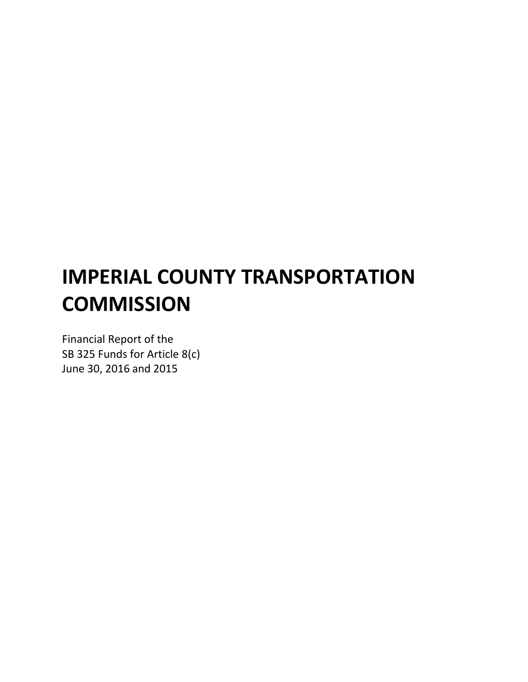# **IMPERIAL COUNTY TRANSPORTATION COMMISSION**

Financial Report of the SB 325 Funds for Article 8(c) June 30, 2016 and 2015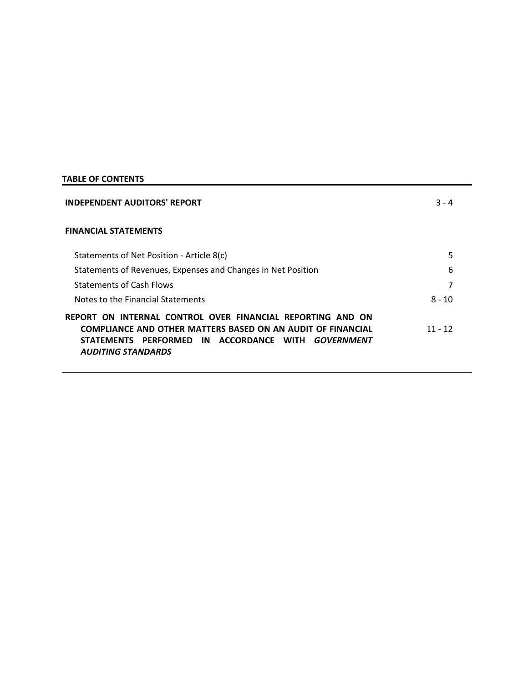# **TABLE OF CONTENTS**

| <b>INDEPENDENT AUDITORS' REPORT</b>                                                                                                                                                                                       | $3 - 4$   |  |
|---------------------------------------------------------------------------------------------------------------------------------------------------------------------------------------------------------------------------|-----------|--|
| <b>FINANCIAL STATEMENTS</b>                                                                                                                                                                                               |           |  |
| Statements of Net Position - Article 8(c)                                                                                                                                                                                 | 5         |  |
| Statements of Revenues, Expenses and Changes in Net Position                                                                                                                                                              | 6         |  |
| <b>Statements of Cash Flows</b>                                                                                                                                                                                           |           |  |
| Notes to the Financial Statements                                                                                                                                                                                         | $8 - 10$  |  |
| REPORT ON INTERNAL CONTROL OVER FINANCIAL REPORTING AND ON<br><b>COMPLIANCE AND OTHER MATTERS BASED ON AN AUDIT OF FINANCIAL</b><br>IN ACCORDANCE WITH<br>STATEMENTS PERFORMED<br>GOVERNMENT<br><b>AUDITING STANDARDS</b> | $11 - 12$ |  |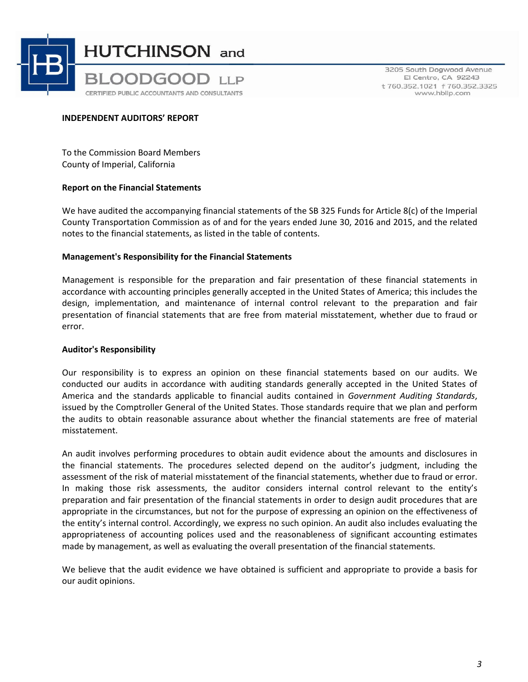

3205 South Dogwood Avenue El Centro, CA 92243 t 760.352.1021 f 760.352.3325 www.hbllp.com

#### **INDEPENDENT AUDITORS' REPORT**

To the Commission Board Members County of Imperial, California

#### **Report on the Financial Statements**

We have audited the accompanying financial statements of the SB 325 Funds for Article 8(c) of the Imperial County Transportation Commission as of and for the years ended June 30, 2016 and 2015, and the related notes to the financial statements, as listed in the table of contents.

#### **Management's Responsibility for the Financial Statements**

Management is responsible for the preparation and fair presentation of these financial statements in accordance with accounting principles generally accepted in the United States of America; this includes the design, implementation, and maintenance of internal control relevant to the preparation and fair presentation of financial statements that are free from material misstatement, whether due to fraud or error.

## **Auditor's Responsibility**

Our responsibility is to express an opinion on these financial statements based on our audits. We conducted our audits in accordance with auditing standards generally accepted in the United States of America and the standards applicable to financial audits contained in *Government Auditing Standards*, issued by the Comptroller General of the United States. Those standards require that we plan and perform the audits to obtain reasonable assurance about whether the financial statements are free of material misstatement.

An audit involves performing procedures to obtain audit evidence about the amounts and disclosures in the financial statements. The procedures selected depend on the auditor's judgment, including the assessment of the risk of material misstatement of the financial statements, whether due to fraud or error. In making those risk assessments, the auditor considers internal control relevant to the entity's preparation and fair presentation of the financial statements in order to design audit procedures that are appropriate in the circumstances, but not for the purpose of expressing an opinion on the effectiveness of the entity's internal control. Accordingly, we express no such opinion. An audit also includes evaluating the appropriateness of accounting polices used and the reasonableness of significant accounting estimates made by management, as well as evaluating the overall presentation of the financial statements.

We believe that the audit evidence we have obtained is sufficient and appropriate to provide a basis for our audit opinions.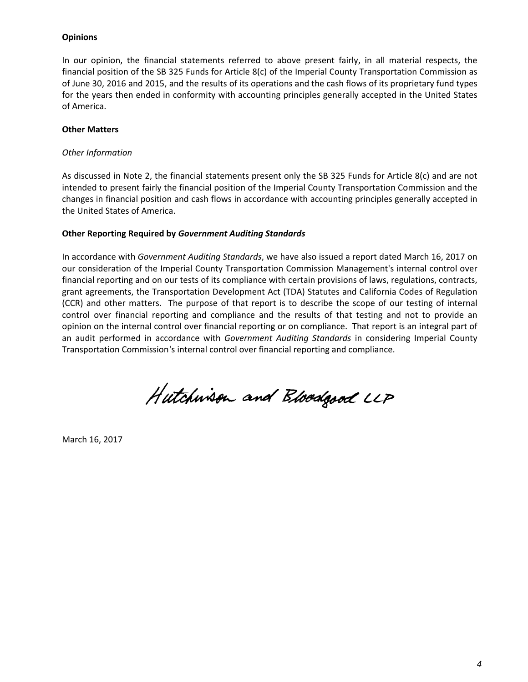## **Opinions**

In our opinion, the financial statements referred to above present fairly, in all material respects, the financial position of the SB 325 Funds for Article 8(c) of the Imperial County Transportation Commission as of June 30, 2016 and 2015, and the results of its operations and the cash flows of its proprietary fund types for the years then ended in conformity with accounting principles generally accepted in the United States of America.

#### **Other Matters**

#### *Other Information*

As discussed in Note 2, the financial statements present only the SB 325 Funds for Article 8(c) and are not intended to present fairly the financial position of the Imperial County Transportation Commission and the changes in financial position and cash flows in accordance with accounting principles generally accepted in the United States of America.

#### **Other Reporting Required by** *Government Auditing Standards*

In accordance with *Government Auditing Standards*, we have also issued a report dated March 16, 2017 on our consideration of the Imperial County Transportation Commission Management's internal control over financial reporting and on our tests of its compliance with certain provisions of laws, regulations, contracts, grant agreements, the Transportation Development Act (TDA) Statutes and California Codes of Regulation (CCR) and other matters. The purpose of that report is to describe the scope of our testing of internal control over financial reporting and compliance and the results of that testing and not to provide an opinion on the internal control over financial reporting or on compliance. That report is an integral part of an audit performed in accordance with *Government Auditing Standards* in considering Imperial County Transportation Commission's internal control over financial reporting and compliance.

Hutchwisen and Bloodgood LLP

March 16, 2017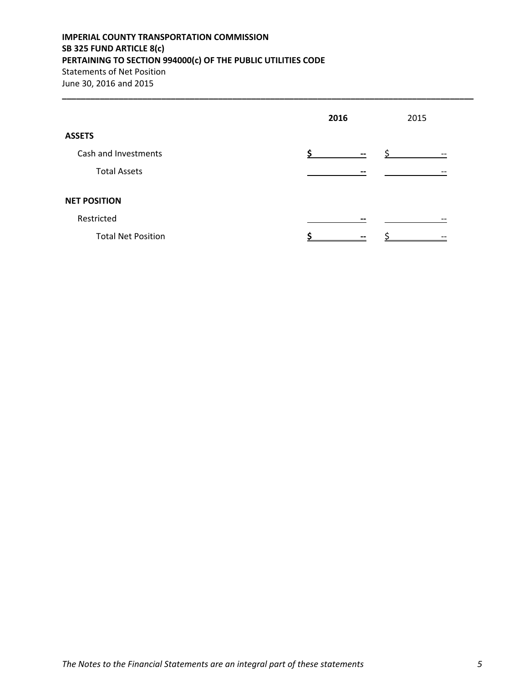# **IMPERIAL COUNTY TRANSPORTATION COMMISSION SB 325 FUND ARTICLE 8(c) PERTAINING TO SECTION 994000(c) OF THE PUBLIC UTILITIES CODE** Statements of Net Position June 30, 2016 and 2015

|                           | 2016                     | 2015 |  |
|---------------------------|--------------------------|------|--|
| <b>ASSETS</b>             |                          |      |  |
| Cash and Investments      | $\overline{\phantom{m}}$ | --   |  |
| <b>Total Assets</b>       | --                       |      |  |
| <b>NET POSITION</b>       |                          |      |  |
| Restricted                |                          |      |  |
| <b>Total Net Position</b> | $- -$                    |      |  |

**\_\_\_\_\_\_\_\_\_\_\_\_\_\_\_\_\_\_\_\_\_\_\_\_\_\_\_\_\_\_\_\_\_\_\_\_\_\_\_\_\_\_\_\_\_\_\_\_\_\_\_\_\_\_\_\_\_\_\_\_\_\_\_\_\_\_\_\_\_\_\_\_\_\_\_\_\_\_\_\_\_\_\_\_\_\_\_**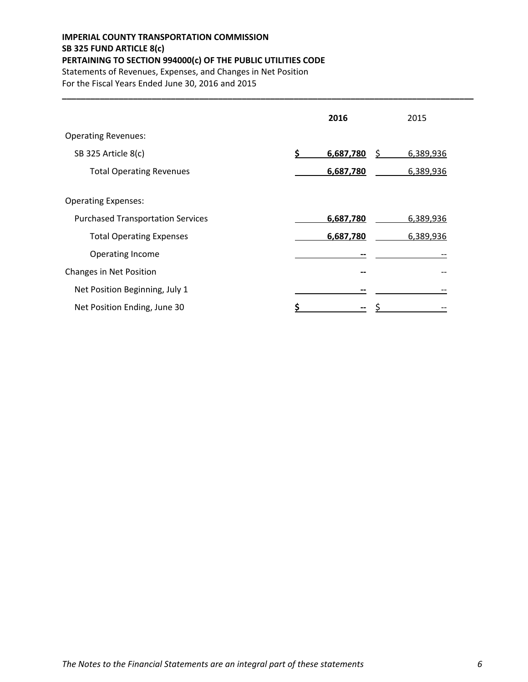# **IMPERIAL COUNTY TRANSPORTATION COMMISSION SB 325 FUND ARTICLE 8(c) PERTAINING TO SECTION 994000(c) OF THE PUBLIC UTILITIES CODE** Statements of Revenues, Expenses, and Changes in Net Position

For the Fiscal Years Ended June 30, 2016 and 2015

|                                          | 2016                | 2015      |
|------------------------------------------|---------------------|-----------|
| <b>Operating Revenues:</b>               |                     |           |
| SB 325 Article 8(c)                      | 6,687,780<br>S<br>Ś | 6,389,936 |
| <b>Total Operating Revenues</b>          | 6,687,780           | 6,389,936 |
| <b>Operating Expenses:</b>               |                     |           |
| <b>Purchased Transportation Services</b> | 6,687,780           | 6,389,936 |
| <b>Total Operating Expenses</b>          | 6,687,780           | 6,389,936 |
| Operating Income                         |                     |           |
| Changes in Net Position                  |                     |           |
| Net Position Beginning, July 1           |                     |           |
| Net Position Ending, June 30             |                     |           |

**\_\_\_\_\_\_\_\_\_\_\_\_\_\_\_\_\_\_\_\_\_\_\_\_\_\_\_\_\_\_\_\_\_\_\_\_\_\_\_\_\_\_\_\_\_\_\_\_\_\_\_\_\_\_\_\_\_\_\_\_\_\_\_\_\_\_\_\_\_\_\_\_\_\_\_\_\_\_\_\_\_\_\_\_\_\_\_**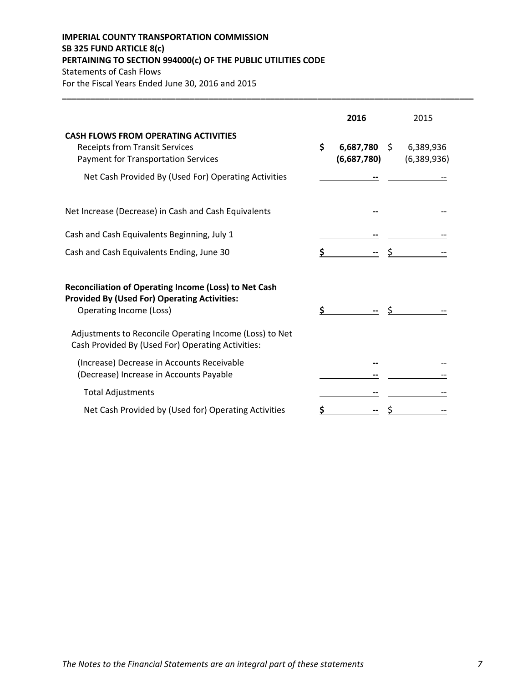# **IMPERIAL COUNTY TRANSPORTATION COMMISSION SB 325 FUND ARTICLE 8(c) PERTAINING TO SECTION 994000(c) OF THE PUBLIC UTILITIES CODE** Statements of Cash Flows

For the Fiscal Years Ended June 30, 2016 and 2015

|                                                                                                                                                                                            | 2016                           | 2015                           |
|--------------------------------------------------------------------------------------------------------------------------------------------------------------------------------------------|--------------------------------|--------------------------------|
| <b>CASH FLOWS FROM OPERATING ACTIVITIES</b><br><b>Receipts from Transit Services</b><br><b>Payment for Transportation Services</b><br>Net Cash Provided By (Used For) Operating Activities | \$<br>6,687,780<br>(6,687,780) | S.<br>6,389,936<br>(6,389,936) |
| Net Increase (Decrease) in Cash and Cash Equivalents                                                                                                                                       |                                |                                |
| Cash and Cash Equivalents Beginning, July 1                                                                                                                                                |                                |                                |
| Cash and Cash Equivalents Ending, June 30                                                                                                                                                  |                                |                                |
| <b>Reconciliation of Operating Income (Loss) to Net Cash</b><br><b>Provided By (Used For) Operating Activities:</b><br>Operating Income (Loss)                                             | \$                             |                                |
| Adjustments to Reconcile Operating Income (Loss) to Net<br>Cash Provided By (Used For) Operating Activities:                                                                               |                                |                                |
| (Increase) Decrease in Accounts Receivable<br>(Decrease) Increase in Accounts Payable                                                                                                      |                                |                                |
| <b>Total Adjustments</b>                                                                                                                                                                   |                                |                                |
| Net Cash Provided by (Used for) Operating Activities                                                                                                                                       |                                |                                |

**\_\_\_\_\_\_\_\_\_\_\_\_\_\_\_\_\_\_\_\_\_\_\_\_\_\_\_\_\_\_\_\_\_\_\_\_\_\_\_\_\_\_\_\_\_\_\_\_\_\_\_\_\_\_\_\_\_\_\_\_\_\_\_\_\_\_\_\_\_\_\_\_\_\_\_\_\_\_\_\_\_\_\_\_\_\_\_**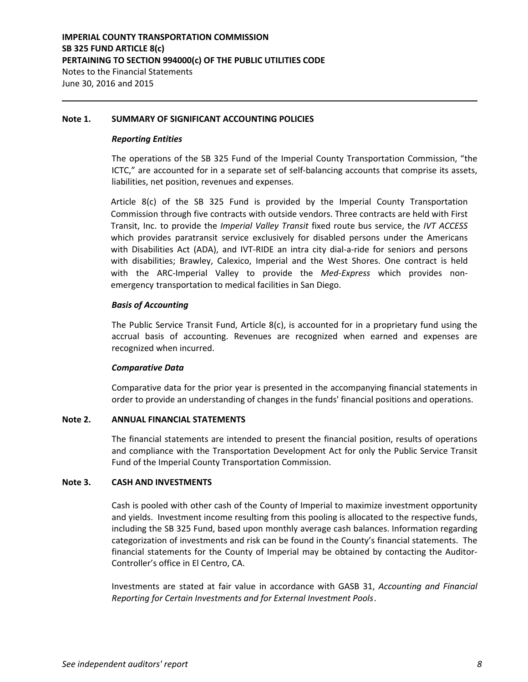#### **Note 1. SUMMARY OF SIGNIFICANT ACCOUNTING POLICIES**

#### *Reporting Entities*

The operations of the SB 325 Fund of the Imperial County Transportation Commission, "the ICTC," are accounted for in a separate set of self-balancing accounts that comprise its assets, liabilities, net position, revenues and expenses.

Article  $8(c)$  of the SB 325 Fund is provided by the Imperial County Transportation Commission through five contracts with outside vendors. Three contracts are held with First Transit, Inc. to provide the *Imperial Valley Transit* fixed route bus service, the *IVT ACCESS* which provides paratransit service exclusively for disabled persons under the Americans with Disabilities Act (ADA), and IVT-RIDE an intra city dial-a-ride for seniors and persons with disabilities; Brawley, Calexico, Imperial and the West Shores. One contract is held with the ARC-Imperial Valley to provide the *Med-Express* which provides nonemergency transportation to medical facilities in San Diego.

## *Basis of Accounting*

The Public Service Transit Fund, Article 8(c), is accounted for in a proprietary fund using the accrual basis of accounting. Revenues are recognized when earned and expenses are recognized when incurred.

## *Comparative Data*

Comparative data for the prior year is presented in the accompanying financial statements in order to provide an understanding of changes in the funds' financial positions and operations.

## **Note 2. ANNUAL FINANCIAL STATEMENTS**

The financial statements are intended to present the financial position, results of operations and compliance with the Transportation Development Act for only the Public Service Transit Fund of the Imperial County Transportation Commission.

## **Note 3. CASH AND INVESTMENTS**

Cash is pooled with other cash of the County of Imperial to maximize investment opportunity and yields. Investment income resulting from this pooling is allocated to the respective funds, including the SB 325 Fund, based upon monthly average cash balances. Information regarding categorization of investments and risk can be found in the County's financial statements. The financial statements for the County of Imperial may be obtained by contacting the Auditor-Controller's office in El Centro, CA.

Investments are stated at fair value in accordance with GASB 31, *Accounting and Financial Reporting for Certain Investments and for External Investment Pools*.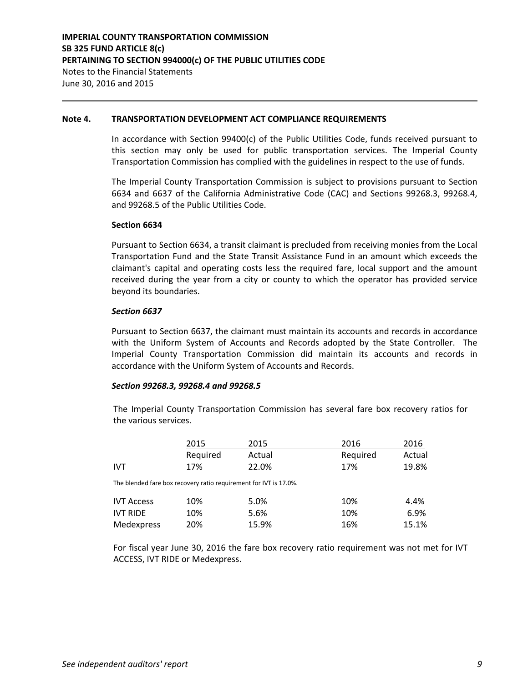#### **Note 4. TRANSPORTATION DEVELOPMENT ACT COMPLIANCE REQUIREMENTS**

In accordance with Section 99400(c) of the Public Utilities Code, funds received pursuant to this section may only be used for public transportation services. The Imperial County Transportation Commission has complied with the guidelines in respect to the use of funds.

The Imperial County Transportation Commission is subject to provisions pursuant to Section 6634 and 6637 of the California Administrative Code (CAC) and Sections 99268.3, 99268.4, and 99268.5 of the Public Utilities Code.

#### **Section 6634**

Pursuant to Section 6634, a transit claimant is precluded from receiving monies from the Local Transportation Fund and the State Transit Assistance Fund in an amount which exceeds the claimant's capital and operating costs less the required fare, local support and the amount received during the year from a city or county to which the operator has provided service beyond its boundaries.

#### *Section 6637*

Pursuant to Section 6637, the claimant must maintain its accounts and records in accordance with the Uniform System of Accounts and Records adopted by the State Controller. The Imperial County Transportation Commission did maintain its accounts and records in accordance with the Uniform System of Accounts and Records.

#### *Section 99268.3, 99268.4 and 99268.5*

The Imperial County Transportation Commission has several fare box recovery ratios for the various services.

|                   | 2015     | 2015                                                              | 2016     | 2016   |
|-------------------|----------|-------------------------------------------------------------------|----------|--------|
|                   | Required | Actual                                                            | Required | Actual |
| <b>IVT</b>        | 17%      | 22.0%                                                             | 17%      | 19.8%  |
|                   |          | The blended fare box recovery ratio requirement for IVT is 17.0%. |          |        |
| <b>IVT Access</b> | 10%      | 5.0%                                                              | 10%      | 4.4%   |
| <b>IVT RIDE</b>   | 10%      | 5.6%                                                              | 10%      | 6.9%   |
| Medexpress        | 20%      | 15.9%                                                             | 16%      | 15.1%  |

For fiscal year June 30, 2016 the fare box recovery ratio requirement was not met for IVT ACCESS, IVT RIDE or Medexpress.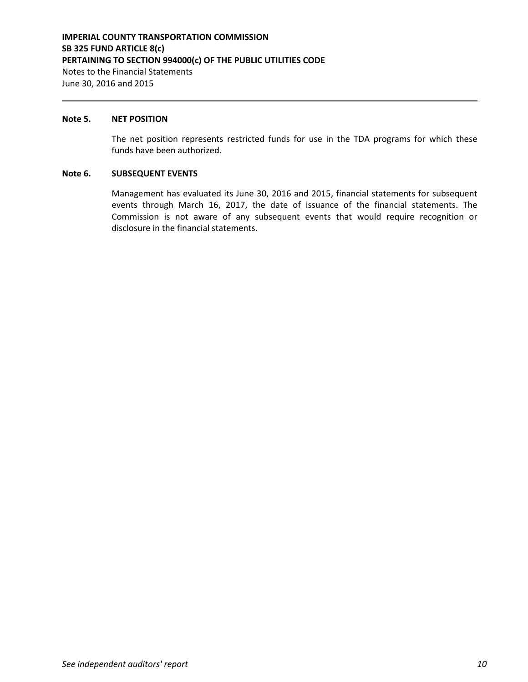#### **Note 5. NET POSITION**

The net position represents restricted funds for use in the TDA programs for which these funds have been authorized.

#### **Note 6. SUBSEQUENT EVENTS**

Management has evaluated its June 30, 2016 and 2015, financial statements for subsequent events through March 16, 2017, the date of issuance of the financial statements. The Commission is not aware of any subsequent events that would require recognition or disclosure in the financial statements.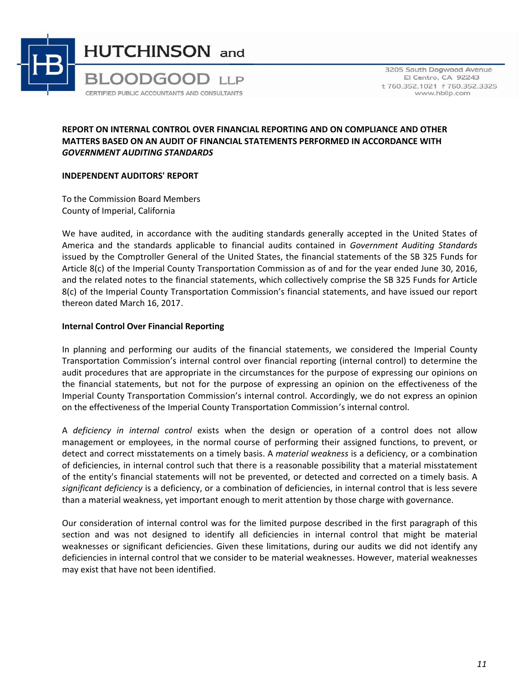

3205 South Dogwood Avenue El Centro, CA 92243 t 760.352.1021 f 760.352.3325 www.hbllp.com

## **REPORT ON INTERNAL CONTROL OVER FINANCIAL REPORTING AND ON COMPLIANCE AND OTHER MATTERS BASED ON AN AUDIT OF FINANCIAL STATEMENTS PERFORMED IN ACCORDANCE WITH** *GOVERNMENT AUDITING STANDARDS*

#### **INDEPENDENT AUDITORS' REPORT**

To the Commission Board Members County of Imperial, California

We have audited, in accordance with the auditing standards generally accepted in the United States of America and the standards applicable to financial audits contained in *Government Auditing Standards* issued by the Comptroller General of the United States, the financial statements of the SB 325 Funds for Article 8(c) of the Imperial County Transportation Commission as of and for the year ended June 30, 2016, and the related notes to the financial statements, which collectively comprise the SB 325 Funds for Article 8(c) of the Imperial County Transportation Commission's financial statements, and have issued our report thereon dated March 16, 2017.

## **Internal Control Over Financial Reporting**

In planning and performing our audits of the financial statements, we considered the Imperial County Transportation Commission's internal control over financial reporting (internal control) to determine the audit procedures that are appropriate in the circumstances for the purpose of expressing our opinions on the financial statements, but not for the purpose of expressing an opinion on the effectiveness of the Imperial County Transportation Commission's internal control. Accordingly, we do not express an opinion on the effectiveness of the Imperial County Transportation Commission's internal control.

A *deficiency in internal control* exists when the design or operation of a control does not allow management or employees, in the normal course of performing their assigned functions, to prevent, or detect and correct misstatements on a timely basis. A *material weakness* is a deficiency, or a combination of deficiencies, in internal control such that there is a reasonable possibility that a material misstatement of the entity's financial statements will not be prevented, or detected and corrected on a timely basis. A *significant deficiency* is a deficiency, or a combination of deficiencies, in internal control that is less severe than a material weakness, yet important enough to merit attention by those charge with governance.

Our consideration of internal control was for the limited purpose described in the first paragraph of this section and was not designed to identify all deficiencies in internal control that might be material weaknesses or significant deficiencies. Given these limitations, during our audits we did not identify any deficiencies in internal control that we consider to be material weaknesses. However, material weaknesses may exist that have not been identified.